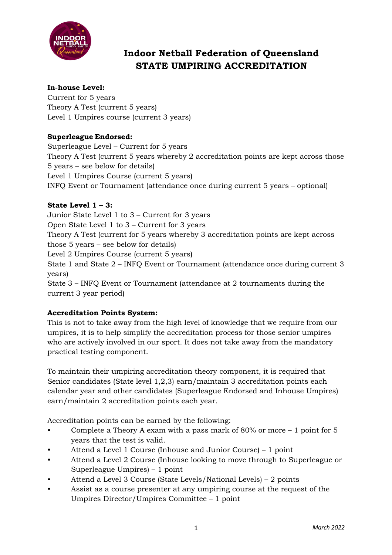

# **Indoor Netball Federation of Queensland STATE UMPIRING ACCREDITATION**

## **In-house Level:**

Current for 5 years Theory A Test (current 5 years) Level 1 Umpires course (current 3 years)

### **Superleague Endorsed:**

Superleague Level – Current for 5 years Theory A Test (current 5 years whereby 2 accreditation points are kept across those 5 years – see below for details) Level 1 Umpires Course (current 5 years) INFQ Event or Tournament (attendance once during current 5 years – optional)

## **State Level 1 – 3:**

Junior State Level 1 to 3 – Current for 3 years Open State Level 1 to 3 – Current for 3 years Theory A Test (current for 5 years whereby 3 accreditation points are kept across those 5 years – see below for details) Level 2 Umpires Course (current 5 years) State 1 and State 2 – INFQ Event or Tournament (attendance once during current 3 years) State 3 – INFQ Event or Tournament (attendance at 2 tournaments during the current 3 year period)

### **Accreditation Points System:**

This is not to take away from the high level of knowledge that we require from our umpires, it is to help simplify the accreditation process for those senior umpires who are actively involved in our sport. It does not take away from the mandatory practical testing component.

To maintain their umpiring accreditation theory component, it is required that Senior candidates (State level 1,2,3) earn/maintain 3 accreditation points each calendar year and other candidates (Superleague Endorsed and Inhouse Umpires) earn/maintain 2 accreditation points each year.

Accreditation points can be earned by the following:

- Complete a Theory A exam with a pass mark of 80% or more 1 point for 5 years that the test is valid.
- Attend a Level 1 Course (Inhouse and Junior Course) 1 point
- Attend a Level 2 Course (Inhouse looking to move through to Superleague or Superleague Umpires) – 1 point
- Attend a Level 3 Course (State Levels/National Levels) 2 points
- Assist as a course presenter at any umpiring course at the request of the Umpires Director/Umpires Committee – 1 point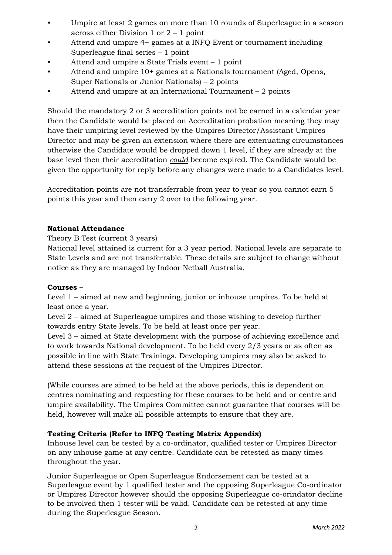- Umpire at least 2 games on more than 10 rounds of Superleague in a season across either Division 1 or 2 – 1 point
- Attend and umpire 4+ games at a INFQ Event or tournament including Superleague final series – 1 point
- Attend and umpire a State Trials event 1 point
- Attend and umpire 10+ games at a Nationals tournament (Aged, Opens, Super Nationals or Junior Nationals) – 2 points
- Attend and umpire at an International Tournament  $-2$  points

Should the mandatory 2 or 3 accreditation points not be earned in a calendar year then the Candidate would be placed on Accreditation probation meaning they may have their umpiring level reviewed by the Umpires Director/Assistant Umpires Director and may be given an extension where there are extenuating circumstances otherwise the Candidate would be dropped down 1 level, if they are already at the base level then their accreditation *could* become expired. The Candidate would be given the opportunity for reply before any changes were made to a Candidates level.

Accreditation points are not transferrable from year to year so you cannot earn 5 points this year and then carry 2 over to the following year.

#### **National Attendance**

Theory B Test (current 3 years)

National level attained is current for a 3 year period. National levels are separate to State Levels and are not transferrable. These details are subject to change without notice as they are managed by Indoor Netball Australia.

#### **Courses –**

Level 1 – aimed at new and beginning, junior or inhouse umpires. To be held at least once a year.

Level 2 – aimed at Superleague umpires and those wishing to develop further towards entry State levels. To be held at least once per year.

Level 3 – aimed at State development with the purpose of achieving excellence and to work towards National development. To be held every 2/3 years or as often as possible in line with State Trainings. Developing umpires may also be asked to attend these sessions at the request of the Umpires Director.

(While courses are aimed to be held at the above periods, this is dependent on centres nominating and requesting for these courses to be held and or centre and umpire availability. The Umpires Committee cannot guarantee that courses will be held, however will make all possible attempts to ensure that they are.

### **Testing Criteria (Refer to INFQ Testing Matrix Appendix)**

Inhouse level can be tested by a co-ordinator, qualified tester or Umpires Director on any inhouse game at any centre. Candidate can be retested as many times throughout the year.

Junior Superleague or Open Superleague Endorsement can be tested at a Superleague event by 1 qualified tester and the opposing Superleague Co-ordinator or Umpires Director however should the opposing Superleague co-orindator decline to be involved then 1 tester will be valid. Candidate can be retested at any time during the Superleague Season.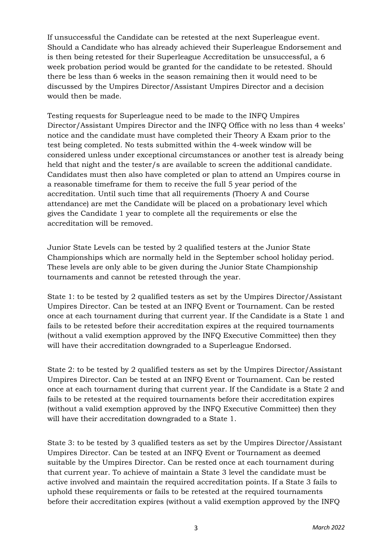If unsuccessful the Candidate can be retested at the next Superleague event. Should a Candidate who has already achieved their Superleague Endorsement and is then being retested for their Superleague Accreditation be unsuccessful, a 6 week probation period would be granted for the candidate to be retested. Should there be less than 6 weeks in the season remaining then it would need to be discussed by the Umpires Director/Assistant Umpires Director and a decision would then be made.

Testing requests for Superleague need to be made to the INFQ Umpires Director/Assistant Umpires Director and the INFQ Office with no less than 4 weeks' notice and the candidate must have completed their Theory A Exam prior to the test being completed. No tests submitted within the 4-week window will be considered unless under exceptional circumstances or another test is already being held that night and the tester/s are available to screen the additional candidate. Candidates must then also have completed or plan to attend an Umpires course in a reasonable timeframe for them to receive the full 5 year period of the accreditation. Until such time that all requirements (Thoery A and Course attendance) are met the Candidate will be placed on a probationary level which gives the Candidate 1 year to complete all the requirements or else the accreditation will be removed.

Junior State Levels can be tested by 2 qualified testers at the Junior State Championships which are normally held in the September school holiday period. These levels are only able to be given during the Junior State Championship tournaments and cannot be retested through the year.

State 1: to be tested by 2 qualified testers as set by the Umpires Director/Assistant Umpires Director. Can be tested at an INFQ Event or Tournament. Can be rested once at each tournament during that current year. If the Candidate is a State 1 and fails to be retested before their accreditation expires at the required tournaments (without a valid exemption approved by the INFQ Executive Committee) then they will have their accreditation downgraded to a Superleague Endorsed.

State 2: to be tested by 2 qualified testers as set by the Umpires Director/Assistant Umpires Director. Can be tested at an INFQ Event or Tournament. Can be rested once at each tournament during that current year. If the Candidate is a State 2 and fails to be retested at the required tournaments before their accreditation expires (without a valid exemption approved by the INFQ Executive Committee) then they will have their accreditation downgraded to a State 1.

State 3: to be tested by 3 qualified testers as set by the Umpires Director/Assistant Umpires Director. Can be tested at an INFQ Event or Tournament as deemed suitable by the Umpires Director. Can be rested once at each tournament during that current year. To achieve of maintain a State 3 level the candidate must be active involved and maintain the required accreditation points. If a State 3 fails to uphold these requirements or fails to be retested at the required tournaments before their accreditation expires (without a valid exemption approved by the INFQ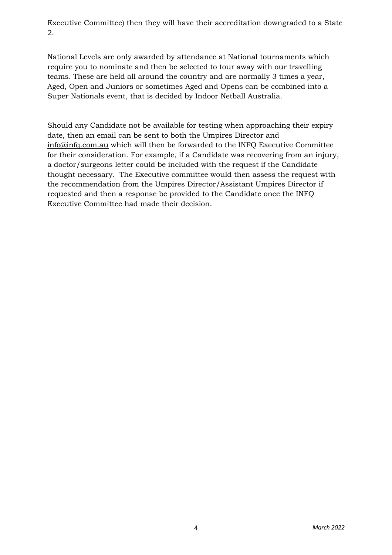Executive Committee) then they will have their accreditation downgraded to a State 2.

National Levels are only awarded by attendance at National tournaments which require you to nominate and then be selected to tour away with our travelling teams. These are held all around the country and are normally 3 times a year, Aged, Open and Juniors or sometimes Aged and Opens can be combined into a Super Nationals event, that is decided by Indoor Netball Australia.

Should any Candidate not be available for testing when approaching their expiry date, then an email can be sent to both the Umpires Director and info@infq.com.au which will then be forwarded to the INFQ Executive Committee for their consideration. For example, if a Candidate was recovering from an injury, a doctor/surgeons letter could be included with the request if the Candidate thought necessary. The Executive committee would then assess the request with the recommendation from the Umpires Director/Assistant Umpires Director if requested and then a response be provided to the Candidate once the INFQ Executive Committee had made their decision.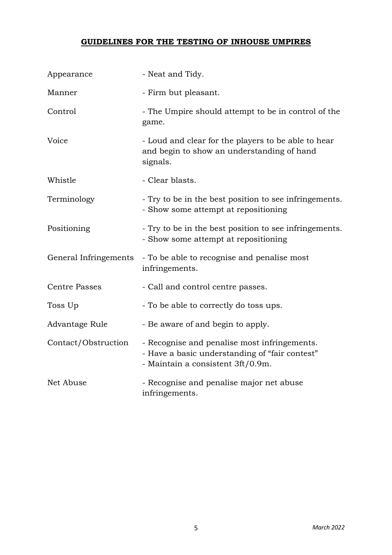# **GUIDELINES FOR THE TESTING OF INHOUSE UMPIRES**

| Appearance            | - Neat and Tidy.                                                                                                                    |
|-----------------------|-------------------------------------------------------------------------------------------------------------------------------------|
| Manner                | - Firm but pleasant.                                                                                                                |
| Control               | - The Umpire should attempt to be in control of the<br>game.                                                                        |
| Voice                 | - Loud and clear for the players to be able to hear<br>and begin to show an understanding of hand<br>signals.                       |
| Whistle               | - Clear blasts.                                                                                                                     |
| Terminology           | - Try to be in the best position to see infringements.<br>- Show some attempt at repositioning                                      |
| Positioning           | - Try to be in the best position to see infringements.<br>- Show some attempt at repositioning                                      |
| General Infringements | - To be able to recognise and penalise most<br>infringements.                                                                       |
| <b>Centre Passes</b>  | - Call and control centre passes.                                                                                                   |
| Toss Up               | - To be able to correctly do toss ups.                                                                                              |
| Advantage Rule        | - Be aware of and begin to apply.                                                                                                   |
| Contact/Obstruction   | - Recognise and penalise most infringements.<br>- Have a basic understanding of "fair contest"<br>- Maintain a consistent 3ft/0.9m. |
| Net Abuse             | - Recognise and penalise major net abuse<br>infringements.                                                                          |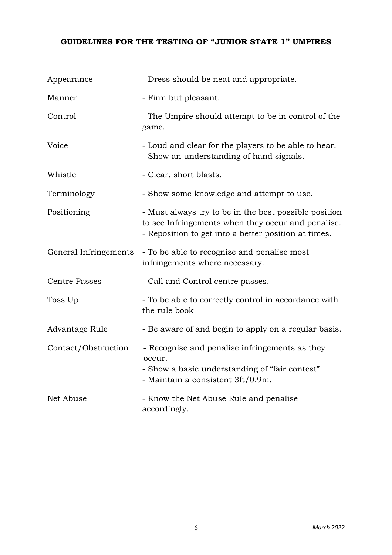# **GUIDELINES FOR THE TESTING OF "JUNIOR STATE 1" UMPIRES**

| Appearance            | - Dress should be neat and appropriate.                                                                                                                             |
|-----------------------|---------------------------------------------------------------------------------------------------------------------------------------------------------------------|
| Manner                | - Firm but pleasant.                                                                                                                                                |
| Control               | - The Umpire should attempt to be in control of the<br>game.                                                                                                        |
| Voice                 | - Loud and clear for the players to be able to hear.<br>- Show an understanding of hand signals.                                                                    |
| Whistle               | - Clear, short blasts.                                                                                                                                              |
| Terminology           | - Show some knowledge and attempt to use.                                                                                                                           |
| Positioning           | - Must always try to be in the best possible position<br>to see Infringements when they occur and penalise.<br>- Reposition to get into a better position at times. |
| General Infringements | - To be able to recognise and penalise most<br>infringements where necessary.                                                                                       |
| <b>Centre Passes</b>  | - Call and Control centre passes.                                                                                                                                   |
| Toss Up               | - To be able to correctly control in accordance with<br>the rule book                                                                                               |
| Advantage Rule        | - Be aware of and begin to apply on a regular basis.                                                                                                                |
| Contact/Obstruction   | - Recognise and penalise infringements as they<br>occur.<br>- Show a basic understanding of "fair contest".<br>- Maintain a consistent 3ft/0.9m.                    |
| Net Abuse             | - Know the Net Abuse Rule and penalise<br>accordingly.                                                                                                              |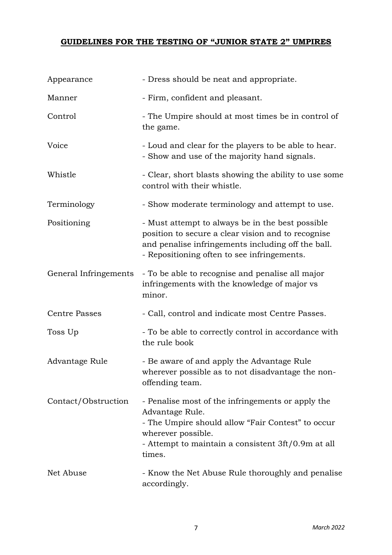# **GUIDELINES FOR THE TESTING OF "JUNIOR STATE 2" UMPIRES**

| Appearance            | - Dress should be neat and appropriate.                                                                                                                                                                         |
|-----------------------|-----------------------------------------------------------------------------------------------------------------------------------------------------------------------------------------------------------------|
| Manner                | - Firm, confident and pleasant.                                                                                                                                                                                 |
| Control               | - The Umpire should at most times be in control of<br>the game.                                                                                                                                                 |
| Voice                 | - Loud and clear for the players to be able to hear.<br>- Show and use of the majority hand signals.                                                                                                            |
| Whistle               | - Clear, short blasts showing the ability to use some<br>control with their whistle.                                                                                                                            |
| Terminology           | - Show moderate terminology and attempt to use.                                                                                                                                                                 |
| Positioning           | - Must attempt to always be in the best possible<br>position to secure a clear vision and to recognise<br>and penalise infringements including off the ball.<br>- Repositioning often to see infringements.     |
| General Infringements | - To be able to recognise and penalise all major<br>infringements with the knowledge of major vs<br>minor.                                                                                                      |
| <b>Centre Passes</b>  | - Call, control and indicate most Centre Passes.                                                                                                                                                                |
| Toss Up               | - To be able to correctly control in accordance with<br>the rule book                                                                                                                                           |
| Advantage Rule        | - Be aware of and apply the Advantage Rule<br>wherever possible as to not disadvantage the non-<br>offending team.                                                                                              |
| Contact/Obstruction   | - Penalise most of the infringements or apply the<br>Advantage Rule.<br>- The Umpire should allow "Fair Contest" to occur<br>wherever possible.<br>- Attempt to maintain a consistent 3ft/0.9m at all<br>times. |
| Net Abuse             | - Know the Net Abuse Rule thoroughly and penalise<br>accordingly.                                                                                                                                               |